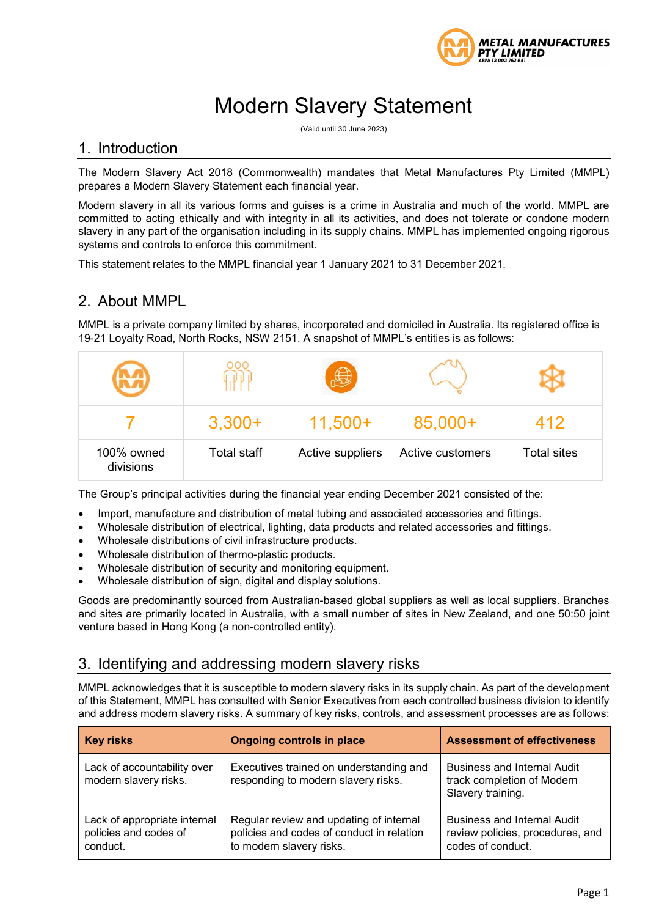

# Modern Slavery Statement

(Valid until 30 June 2023)

#### 1. Introduction

The Modern Slavery Act 2018 (Commonwealth) mandates that Metal Manufactures Pty Limited (MMPL) prepares a Modern Slavery Statement each financial year.

Modern slavery in all its various forms and guises is a crime in Australia and much of the world. MMPL are committed to acting ethically and with integrity in all its activities, and does not tolerate or condone modern slavery in any part of the organisation including in its supply chains. MMPL has implemented ongoing rigorous systems and controls to enforce this commitment.

This statement relates to the MMPL financial year 1 January 2021 to 31 December 2021.

### 2. About MMPL

MMPL is a private company limited by shares, incorporated and domiciled in Australia. Its registered office is 19-21 Loyalty Road, North Rocks, NSW 2151. A snapshot of MMPL's entities is as follows:

|                         | $3,300+$           | $11,500+$        | 85,000+          | 412                |
|-------------------------|--------------------|------------------|------------------|--------------------|
| 100% owned<br>divisions | <b>Total staff</b> | Active suppliers | Active customers | <b>Total sites</b> |

The Group's principal activities during the financial year ending December 2021 consisted of the:

- Import, manufacture and distribution of metal tubing and associated accessories and fittings.
- Wholesale distribution of electrical, lighting, data products and related accessories and fittings.
- Wholesale distributions of civil infrastructure products.
- Wholesale distribution of thermo-plastic products.
- Wholesale distribution of security and monitoring equipment.
- Wholesale distribution of sign, digital and display solutions.

Goods are predominantly sourced from Australian-based global suppliers as well as local suppliers. Branches and sites are primarily located in Australia, with a small number of sites in New Zealand, and one 50:50 joint venture based in Hong Kong (a non-controlled entity).

### 3. Identifying and addressing modern slavery risks

MMPL acknowledges that it is susceptible to modern slavery risks in its supply chain. As part of the development of this Statement, MMPL has consulted with Senior Executives from each controlled business division to identify and address modern slavery risks. A summary of key risks, controls, and assessment processes are as follows:

| <b>Key risks</b>                                                  | <b>Ongoing controls in place</b>                                                                                 | <b>Assessment of effectiveness</b>                                                          |
|-------------------------------------------------------------------|------------------------------------------------------------------------------------------------------------------|---------------------------------------------------------------------------------------------|
| Lack of accountability over<br>modern slavery risks.              | Executives trained on understanding and<br>responding to modern slavery risks.                                   | <b>Business and Internal Audit</b><br>track completion of Modern<br>Slavery training.       |
| Lack of appropriate internal<br>policies and codes of<br>conduct. | Regular review and updating of internal<br>policies and codes of conduct in relation<br>to modern slavery risks. | <b>Business and Internal Audit</b><br>review policies, procedures, and<br>codes of conduct. |